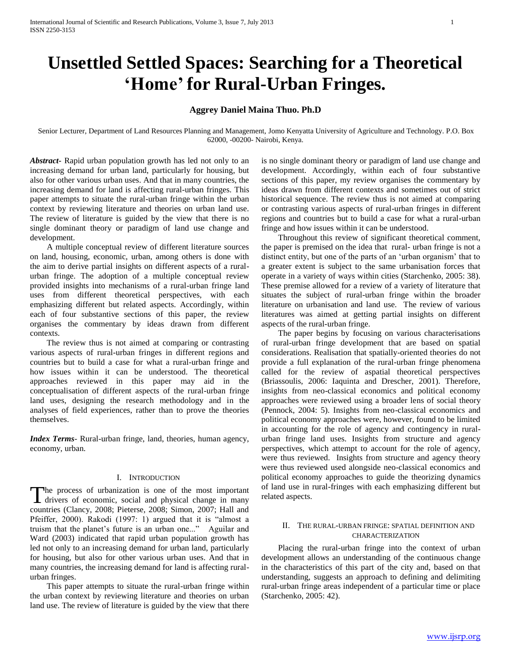# **Unsettled Settled Spaces: Searching for a Theoretical 'Home' for Rural-Urban Fringes.**

## **Aggrey Daniel Maina Thuo. Ph.D**

Senior Lecturer, Department of Land Resources Planning and Management, Jomo Kenyatta University of Agriculture and Technology. P.O. Box 62000, -00200- Nairobi, Kenya.

*Abstract***-** Rapid urban population growth has led not only to an increasing demand for urban land, particularly for housing, but also for other various urban uses. And that in many countries, the increasing demand for land is affecting rural-urban fringes. This paper attempts to situate the rural-urban fringe within the urban context by reviewing literature and theories on urban land use. The review of literature is guided by the view that there is no single dominant theory or paradigm of land use change and development.

 A multiple conceptual review of different literature sources on land, housing, economic, urban, among others is done with the aim to derive partial insights on different aspects of a ruralurban fringe. The adoption of a multiple conceptual review provided insights into mechanisms of a rural-urban fringe land uses from different theoretical perspectives, with each emphasizing different but related aspects. Accordingly, within each of four substantive sections of this paper, the review organises the commentary by ideas drawn from different contexts.

 The review thus is not aimed at comparing or contrasting various aspects of rural-urban fringes in different regions and countries but to build a case for what a rural-urban fringe and how issues within it can be understood. The theoretical approaches reviewed in this paper may aid in the conceptualisation of different aspects of the rural-urban fringe land uses, designing the research methodology and in the analyses of field experiences, rather than to prove the theories themselves.

*Index Terms*- Rural-urban fringe, land, theories, human agency, economy, urban.

### I. INTRODUCTION

he process of urbanization is one of the most important The process of urbanization is one of the most important drivers of economic, social and physical change in many countries (Clancy, 2008; Pieterse, 2008; Simon, 2007; Hall and Pfeiffer, 2000). Rakodi (1997: 1) argued that it is "almost a truism that the planet's future is an urban one..." Aguilar and Ward (2003) indicated that rapid urban population growth has led not only to an increasing demand for urban land, particularly for housing, but also for other various urban uses. And that in many countries, the increasing demand for land is affecting ruralurban fringes.

 This paper attempts to situate the rural-urban fringe within the urban context by reviewing literature and theories on urban land use. The review of literature is guided by the view that there

is no single dominant theory or paradigm of land use change and development. Accordingly, within each of four substantive sections of this paper, my review organises the commentary by ideas drawn from different contexts and sometimes out of strict historical sequence. The review thus is not aimed at comparing or contrasting various aspects of rural-urban fringes in different regions and countries but to build a case for what a rural-urban fringe and how issues within it can be understood.

 Throughout this review of significant theoretical comment, the paper is premised on the idea that rural- urban fringe is not a distinct entity, but one of the parts of an "urban organism" that to a greater extent is subject to the same urbanisation forces that operate in a variety of ways within cities (Starchenko, 2005: 38). These premise allowed for a review of a variety of literature that situates the subject of rural-urban fringe within the broader literature on urbanisation and land use. The review of various literatures was aimed at getting partial insights on different aspects of the rural-urban fringe.

 The paper begins by focusing on various characterisations of rural-urban fringe development that are based on spatial considerations. Realisation that spatially-oriented theories do not provide a full explanation of the rural-urban fringe phenomena called for the review of aspatial theoretical perspectives (Briassoulis, 2006: Iaquinta and Drescher, 2001). Therefore, insights from neo-classical economics and political economy approaches were reviewed using a broader lens of social theory (Pennock, 2004: 5). Insights from neo-classical economics and political economy approaches were, however, found to be limited in accounting for the role of agency and contingency in ruralurban fringe land uses. Insights from structure and agency perspectives, which attempt to account for the role of agency, were thus reviewed. Insights from structure and agency theory were thus reviewed used alongside neo-classical economics and political economy approaches to guide the theorizing dynamics of land use in rural-fringes with each emphasizing different but related aspects.

#### II. THE RURAL-URBAN FRINGE: SPATIAL DEFINITION AND CHARACTERIZATION

 Placing the rural-urban fringe into the context of urban development allows an understanding of the continuous change in the characteristics of this part of the city and, based on that understanding, suggests an approach to defining and delimiting rural-urban fringe areas independent of a particular time or place (Starchenko, 2005: 42).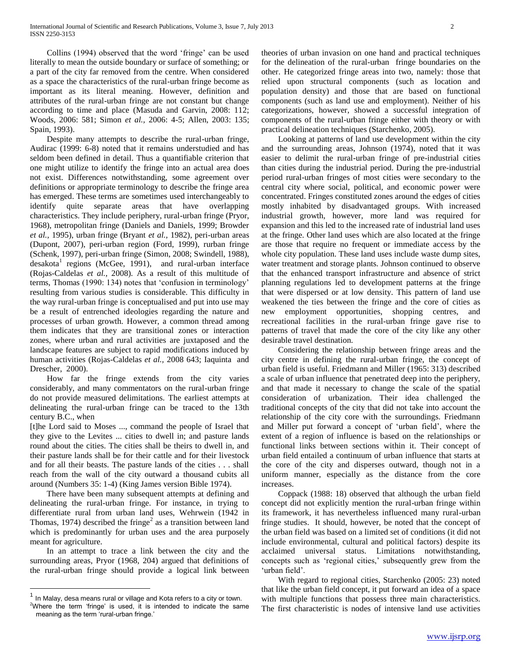Collins (1994) observed that the word "fringe" can be used literally to mean the outside boundary or surface of something; or a part of the city far removed from the centre. When considered as a space the characteristics of the rural-urban fringe become as important as its literal meaning. However, definition and attributes of the rural-urban fringe are not constant but change according to time and place (Masuda and Garvin, 2008: 112; Woods, 2006: 581; Simon *et al.,* 2006: 4-5; Allen, 2003: 135; Spain, 1993).

 Despite many attempts to describe the rural-urban fringe, Audirac (1999: 6-8) noted that it remains understudied and has seldom been defined in detail. Thus a quantifiable criterion that one might utilize to identify the fringe into an actual area does not exist. Differences notwithstanding, some agreement over definitions or appropriate terminology to describe the fringe area has emerged. These terms are sometimes used interchangeably to identify quite separate areas that have overlapping characteristics. They include periphery, rural-urban fringe (Pryor, 1968), metropolitan fringe (Daniels and Daniels, 1999; Browder *et al.,* 1995), urban fringe (Bryant *et al.,* 1982), peri-urban areas (Dupont, 2007), peri-urban region (Ford, 1999), rurban fringe (Schenk, 1997), peri-urban fringe (Simon, 2008; Swindell, 1988), desakota<sup>1</sup> regions (McGee, 1991), and rural-urban interface (Rojas-Caldelas *et al.,* 2008). As a result of this multitude of terms, Thomas (1990: 134) notes that "confusion in terminology" resulting from various studies is considerable. This difficulty in the way rural-urban fringe is conceptualised and put into use may be a result of entrenched ideologies regarding the nature and processes of urban growth. However, a common thread among them indicates that they are transitional zones or interaction zones, where urban and rural activities are juxtaposed and the landscape features are subject to rapid modifications induced by human activities (Rojas-Caldelas *et al.,* 2008 643; Iaquinta and Drescher, 2000).

 How far the fringe extends from the city varies considerably, and many commentators on the rural-urban fringe do not provide measured delimitations. The earliest attempts at delineating the rural-urban fringe can be traced to the 13th century B.C., when

[t]he Lord said to Moses ..., command the people of Israel that they give to the Levites ... cities to dwell in; and pasture lands round about the cities. The cities shall be theirs to dwell in, and their pasture lands shall be for their cattle and for their livestock and for all their beasts. The pasture lands of the cities . . . shall reach from the wall of the city outward a thousand cubits all around (Numbers 35: 1-4) (King James version Bible 1974).

 There have been many subsequent attempts at defining and delineating the rural-urban fringe. For instance, in trying to differentiate rural from urban land uses, Wehrwein (1942 in Thomas, 1974) described the fringe<sup>2</sup> as a transition between land which is predominantly for urban uses and the area purposely meant for agriculture.

 In an attempt to trace a link between the city and the surrounding areas, Pryor (1968, 204) argued that definitions of the rural-urban fringe should provide a logical link between

 $\overline{a}$ 

theories of urban invasion on one hand and practical techniques for the delineation of the rural-urban fringe boundaries on the other. He categorized fringe areas into two, namely: those that relied upon structural components (such as location and population density) and those that are based on functional components (such as land use and employment). Neither of his categorizations, however, showed a successful integration of components of the rural-urban fringe either with theory or with practical delineation techniques (Starchenko, 2005).

 Looking at patterns of land use development within the city and the surrounding areas, Johnson (1974), noted that it was easier to delimit the rural-urban fringe of pre-industrial cities than cities during the industrial period. During the pre-industrial period rural-urban fringes of most cities were secondary to the central city where social, political, and economic power were concentrated. Fringes constituted zones around the edges of cities mostly inhabited by disadvantaged groups. With increased industrial growth, however, more land was required for expansion and this led to the increased rate of industrial land uses at the fringe. Other land uses which are also located at the fringe are those that require no frequent or immediate access by the whole city population. These land uses include waste dump sites, water treatment and storage plants. Johnson continued to observe that the enhanced transport infrastructure and absence of strict planning regulations led to development patterns at the fringe that were dispersed or at low density. This pattern of land use weakened the ties between the fringe and the core of cities as new employment opportunities, shopping centres, and recreational facilities in the rural-urban fringe gave rise to patterns of travel that made the core of the city like any other desirable travel destination.

 Considering the relationship between fringe areas and the city centre in defining the rural-urban fringe, the concept of urban field is useful. Friedmann and Miller (1965: 313) described a scale of urban influence that penetrated deep into the periphery, and that made it necessary to change the scale of the spatial consideration of urbanization. Their idea challenged the traditional concepts of the city that did not take into account the relationship of the city core with the surroundings. Friedmann and Miller put forward a concept of "urban field", where the extent of a region of influence is based on the relationships or functional links between sections within it. Their concept of urban field entailed a continuum of urban influence that starts at the core of the city and disperses outward, though not in a uniform manner, especially as the distance from the core increases.

 Coppack (1988: 18) observed that although the urban field concept did not explicitly mention the rural-urban fringe within its framework, it has nevertheless influenced many rural-urban fringe studies. It should, however, be noted that the concept of the urban field was based on a limited set of conditions (it did not include environmental, cultural and political factors) despite its acclaimed universal status. Limitations notwithstanding, concepts such as 'regional cities,' subsequently grew from the 'urban field'.

 With regard to regional cities, Starchenko (2005: 23) noted that like the urban field concept, it put forward an idea of a space with multiple functions that possess three main characteristics. The first characteristic is nodes of intensive land use activities

<sup>1</sup> In Malay, desa means rural or village and Kota refers to a city or town.

<sup>&</sup>lt;sup>2</sup>Where the term 'fringe' is used, it is intended to indicate the same meaning as the term 'rural-urban fringe.'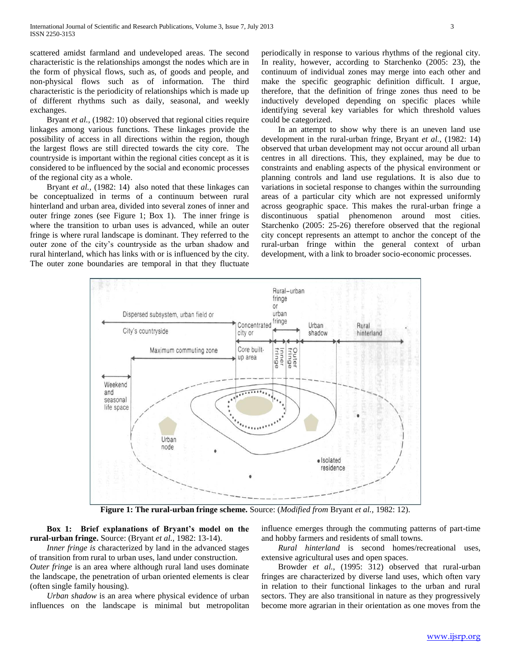scattered amidst farmland and undeveloped areas. The second characteristic is the relationships amongst the nodes which are in the form of physical flows, such as, of goods and people, and non-physical flows such as of information. The third characteristic is the periodicity of relationships which is made up of different rhythms such as daily, seasonal, and weekly exchanges.

Bryant *et al.*, (1982: 10) observed that regional cities require linkages among various functions. These linkages provide the possibility of access in all directions within the region, though the largest flows are still directed towards the city core. The countryside is important within the regional cities concept as it is considered to be influenced by the social and economic processes of the regional city as a whole.

Bryant *et al.*, (1982: 14) also noted that these linkages can be conceptualized in terms of a continuum between rural hinterland and urban area, divided into several zones of inner and outer fringe zones (see Figure 1; Box 1). The inner fringe is where the transition to urban uses is advanced, while an outer fringe is where rural landscape is dominant. They referred to the outer zone of the city"s countryside as the urban shadow and rural hinterland, which has links with or is influenced by the city. The outer zone boundaries are temporal in that they fluctuate

periodically in response to various rhythms of the regional city. In reality, however, according to Starchenko (2005: 23), the continuum of individual zones may merge into each other and make the specific geographic definition difficult. I argue, therefore, that the definition of fringe zones thus need to be inductively developed depending on specific places while identifying several key variables for which threshold values could be categorized.

 In an attempt to show why there is an uneven land use development in the rural-urban fringe, Bryant *et al.,* (1982: 14) observed that urban development may not occur around all urban centres in all directions. This, they explained, may be due to constraints and enabling aspects of the physical environment or planning controls and land use regulations. It is also due to variations in societal response to changes within the surrounding areas of a particular city which are not expressed uniformly across geographic space. This makes the rural-urban fringe a discontinuous spatial phenomenon around most cities. Starchenko (2005: 25-26) therefore observed that the regional city concept represents an attempt to anchor the concept of the rural-urban fringe within the general context of urban development, with a link to broader socio-economic processes.



**Figure 1: The rural-urban fringe scheme.** Source: (*Modified from* Bryant *et al.,* 1982: 12).

 **Box 1: Brief explanations of Bryant's model on the rural-urban fringe.** Source: (Bryant *et al.,* 1982: 13-14).

*Inner fringe is* characterized by land in the advanced stages of transition from rural to urban uses, land under construction. *Outer fringe* is an area where although rural land uses dominate the landscape, the penetration of urban oriented elements is clear (often single family housing).

 *Urban shadow* is an area where physical evidence of urban influences on the landscape is minimal but metropolitan influence emerges through the commuting patterns of part-time and hobby farmers and residents of small towns.

 *Rural hinterland* is second homes/recreational uses, extensive agricultural uses and open spaces.

 Browder *et al.,* (1995: 312) observed that rural-urban fringes are characterized by diverse land uses, which often vary in relation to their functional linkages to the urban and rural sectors. They are also transitional in nature as they progressively become more agrarian in their orientation as one moves from the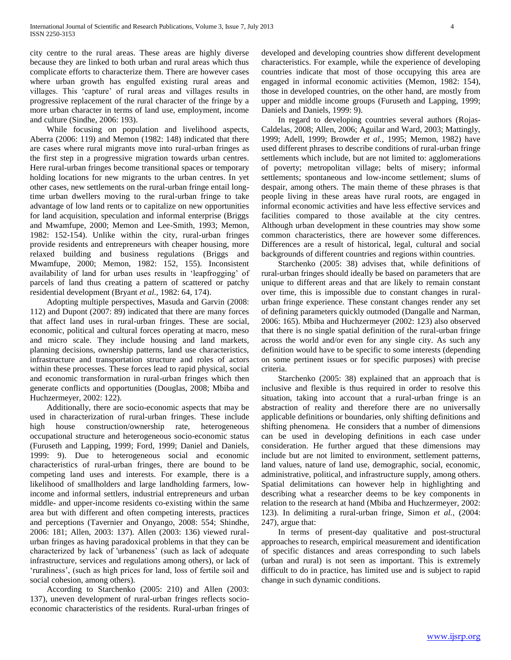city centre to the rural areas. These areas are highly diverse because they are linked to both urban and rural areas which thus complicate efforts to characterize them. There are however cases where urban growth has engulfed existing rural areas and villages. This "capture" of rural areas and villages results in progressive replacement of the rural character of the fringe by a more urban character in terms of land use, employment, income and culture (Sindhe, 2006: 193).

 While focusing on population and livelihood aspects, Aberra (2006: 119) and Memon (1982: 148) indicated that there are cases where rural migrants move into rural-urban fringes as the first step in a progressive migration towards urban centres. Here rural-urban fringes become transitional spaces or temporary holding locations for new migrants to the urban centres. In yet other cases, new settlements on the rural-urban fringe entail longtime urban dwellers moving to the rural-urban fringe to take advantage of low land rents or to capitalize on new opportunities for land acquisition, speculation and informal enterprise (Briggs and Mwamfupe, 2000; Memon and Lee-Smith, 1993; Memon, 1982: 152-154). Unlike within the city, rural-urban fringes provide residents and entrepreneurs with cheaper housing, more relaxed building and business regulations (Briggs and Mwamfupe, 2000; Memon, 1982: 152, 155). Inconsistent availability of land for urban uses results in "leapfrogging" of parcels of land thus creating a pattern of scattered or patchy residential development (Bryant *et al.,* 1982: 64, 174).

 Adopting multiple perspectives, Masuda and Garvin (2008: 112) and Dupont (2007: 89) indicated that there are many forces that affect land uses in rural-urban fringes. These are social, economic, political and cultural forces operating at macro, meso and micro scale. They include housing and land markets, planning decisions, ownership patterns, land use characteristics, infrastructure and transportation structure and roles of actors within these processes. These forces lead to rapid physical, social and economic transformation in rural-urban fringes which then generate conflicts and opportunities (Douglas, 2008; Mbiba and Huchzermeyer, 2002: 122).

 Additionally, there are socio-economic aspects that may be used in characterization of rural-urban fringes. These include high house construction/ownership rate, heterogeneous occupational structure and heterogeneous socio-economic status (Furuseth and Lapping, 1999; Ford, 1999; Daniel and Daniels, 1999: 9). Due to heterogeneous social and economic characteristics of rural-urban fringes, there are bound to be competing land uses and interests. For example, there is a likelihood of smallholders and large landholding farmers, lowincome and informal settlers, industrial entrepreneurs and urban middle- and upper-income residents co-existing within the same area but with different and often competing interests, practices and perceptions (Tavernier and Onyango, 2008: 554; Shindhe, 2006: 181; Allen, 2003: 137). Allen (2003: 136) viewed ruralurban fringes as having paradoxical problems in that they can be characterized by lack of 'urbaneness" (such as lack of adequate infrastructure, services and regulations among others), or lack of 'ruraliness', (such as high prices for land, loss of fertile soil and social cohesion, among others).

 According to Starchenko (2005: 210) and Allen (2003: 137), uneven development of rural-urban fringes reflects socioeconomic characteristics of the residents. Rural-urban fringes of developed and developing countries show different development characteristics. For example, while the experience of developing countries indicate that most of those occupying this area are engaged in informal economic activities (Memon, 1982: 154), those in developed countries, on the other hand, are mostly from upper and middle income groups (Furuseth and Lapping, 1999; Daniels and Daniels, 1999: 9).

 In regard to developing countries several authors (Rojas-Caldelas, 2008; Allen, 2006; Aguilar and Ward, 2003; Mattingly, 1999; Adell, 1999; Browder *et al.,* 1995; Memon, 1982) have used different phrases to describe conditions of rural-urban fringe settlements which include, but are not limited to: agglomerations of poverty; metropolitan village; belts of misery; informal settlements; spontaneous and low-income settlement; slums of despair, among others. The main theme of these phrases is that people living in these areas have rural roots, are engaged in informal economic activities and have less effective services and facilities compared to those available at the city centres. Although urban development in these countries may show some common characteristics, there are however some differences. Differences are a result of historical, legal, cultural and social backgrounds of different countries and regions within countries.

 Starchenko (2005: 38) advises that, while definitions of rural-urban fringes should ideally be based on parameters that are unique to different areas and that are likely to remain constant over time, this is impossible due to constant changes in ruralurban fringe experience. These constant changes render any set of defining parameters quickly outmoded (Dangalle and Narman, 2006: 165). Mbiba and Huchzermeyer (2002: 123) also observed that there is no single spatial definition of the rural-urban fringe across the world and/or even for any single city. As such any definition would have to be specific to some interests (depending on some pertinent issues or for specific purposes) with precise criteria.

 Starchenko (2005: 38) explained that an approach that is inclusive and flexible is thus required in order to resolve this situation, taking into account that a rural-urban fringe is an abstraction of reality and therefore there are no universally applicable definitions or boundaries, only shifting definitions and shifting phenomena. He considers that a number of dimensions can be used in developing definitions in each case under consideration. He further argued that these dimensions may include but are not limited to environment, settlement patterns, land values, nature of land use, demographic, social, economic, administrative, political, and infrastructure supply, among others. Spatial delimitations can however help in highlighting and describing what a researcher deems to be key components in relation to the research at hand (Mbiba and Huchzermeyer, 2002: 123). In delimiting a rural-urban fringe, Simon *et al.,* (2004: 247)*,* argue that:

 In terms of present-day qualitative and post-structural approaches to research, empirical measurement and identification of specific distances and areas corresponding to such labels (urban and rural) is not seen as important. This is extremely difficult to do in practice, has limited use and is subject to rapid change in such dynamic conditions.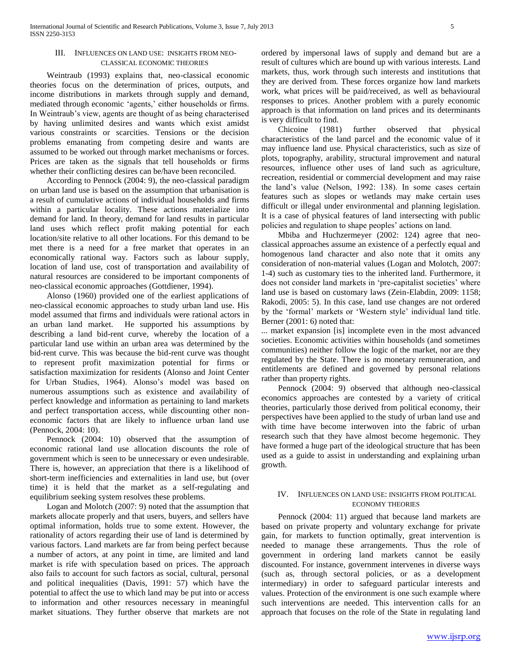## III. INFLUENCES ON LAND USE: INSIGHTS FROM NEO-CLASSICAL ECONOMIC THEORIES

 Weintraub (1993) explains that, neo-classical economic theories focus on the determination of prices, outputs, and income distributions in markets through supply and demand, mediated through economic 'agents,' either households or firms. In Weintraub's view, agents are thought of as being characterised by having unlimited desires and wants which exist amidst various constraints or scarcities. Tensions or the decision problems emanating from competing desire and wants are assumed to be worked out through market mechanisms or forces. Prices are taken as the signals that tell households or firms whether their conflicting desires can be/have been reconciled.

 According to Pennock (2004: 9), the neo-classical paradigm on urban land use is based on the assumption that urbanisation is a result of cumulative actions of individual households and firms within a particular locality. These actions materialize into demand for land. In theory, demand for land results in particular land uses which reflect profit making potential for each location/site relative to all other locations. For this demand to be met there is a need for a free market that operates in an economically rational way. Factors such as labour supply, location of land use, cost of transportation and availability of natural resources are considered to be important components of neo-classical economic approaches (Gottdiener, 1994).

 Alonso (1960) provided one of the earliest applications of neo-classical economic approaches to study urban land use. His model assumed that firms and individuals were rational actors in an urban land market. He supported his assumptions by describing a land bid-rent curve, whereby the location of a particular land use within an urban area was determined by the bid-rent curve. This was because the bid-rent curve was thought to represent profit maximization potential for firms or satisfaction maximization for residents (Alonso and Joint Center for Urban Studies, 1964). Alonso"s model was based on numerous assumptions such as existence and availability of perfect knowledge and information as pertaining to land markets and perfect transportation access, while discounting other noneconomic factors that are likely to influence urban land use (Pennock, 2004: 10).

 Pennock (2004: 10) observed that the assumption of economic rational land use allocation discounts the role of government which is seen to be unnecessary or even undesirable. There is, however, an appreciation that there is a likelihood of short-term inefficiencies and externalities in land use, but (over time) it is held that the market as a self-regulating and equilibrium seeking system resolves these problems.

 Logan and Molotch (2007: 9) noted that the assumption that markets allocate properly and that users, buyers, and sellers have optimal information, holds true to some extent. However, the rationality of actors regarding their use of land is determined by various factors. Land markets are far from being perfect because a number of actors, at any point in time, are limited and land market is rife with speculation based on prices. The approach also fails to account for such factors as social, cultural, personal and political inequalities (Davis, 1991: 57) which have the potential to affect the use to which land may be put into or access to information and other resources necessary in meaningful market situations. They further observe that markets are not ordered by impersonal laws of supply and demand but are a result of cultures which are bound up with various interests. Land markets, thus, work through such interests and institutions that they are derived from. These forces organize how land markets work, what prices will be paid/received, as well as behavioural responses to prices. Another problem with a purely economic approach is that information on land prices and its determinants is very difficult to find.

 Chicoine (1981) further observed that physical characteristics of the land parcel and the economic value of it may influence land use. Physical characteristics, such as size of plots, topography, arability, structural improvement and natural resources, influence other uses of land such as agriculture, recreation, residential or commercial development and may raise the land"s value (Nelson, 1992: 138). In some cases certain features such as slopes or wetlands may make certain uses difficult or illegal under environmental and planning legislation. It is a case of physical features of land intersecting with public policies and regulation to shape peoples" actions on land.

 Mbiba and Huchzermeyer (2002: 124) agree that neoclassical approaches assume an existence of a perfectly equal and homogenous land character and also note that it omits any consideration of non-material values (Logan and Molotch, 2007: 1-4) such as customary ties to the inherited land. Furthermore, it does not consider land markets in 'pre-capitalist societies' where land use is based on customary laws (Zein-Elabdin, 2009: 1158; Rakodi, 2005: 5). In this case, land use changes are not ordered by the "formal" markets or "Western style" individual land title. Berner (2001: 6) noted that:

... market expansion [is] incomplete even in the most advanced societies. Economic activities within households (and sometimes communities) neither follow the logic of the market, nor are they regulated by the State. There is no monetary remuneration, and entitlements are defined and governed by personal relations rather than property rights.

 Pennock (2004: 9) observed that although neo-classical economics approaches are contested by a variety of critical theories, particularly those derived from political economy, their perspectives have been applied to the study of urban land use and with time have become interwoven into the fabric of urban research such that they have almost become hegemonic. They have formed a huge part of the ideological structure that has been used as a guide to assist in understanding and explaining urban growth.

## IV. INFLUENCES ON LAND USE: INSIGHTS FROM POLITICAL ECONOMY THEORIES

 Pennock (2004: 11) argued that because land markets are based on private property and voluntary exchange for private gain, for markets to function optimally, great intervention is needed to manage these arrangements. Thus the role of government in ordering land markets cannot be easily discounted. For instance, government intervenes in diverse ways (such as, through sectoral policies, or as a development intermediary) in order to safeguard particular interests and values. Protection of the environment is one such example where such interventions are needed. This intervention calls for an approach that focuses on the role of the State in regulating land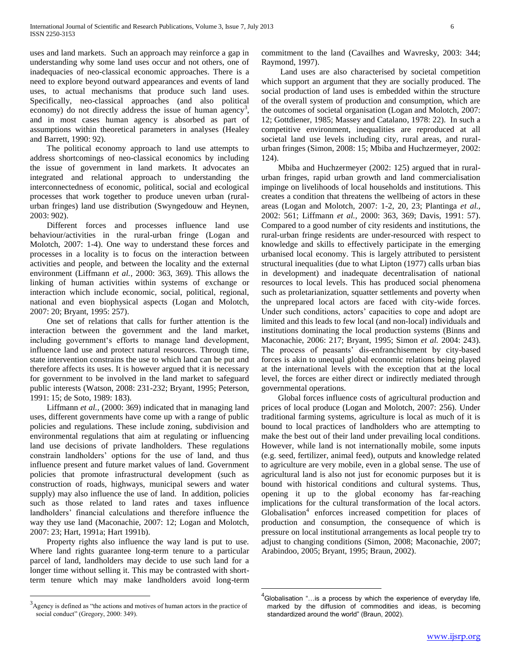uses and land markets. Such an approach may reinforce a gap in understanding why some land uses occur and not others, one of inadequacies of neo-classical economic approaches. There is a need to explore beyond outward appearances and events of land uses, to actual mechanisms that produce such land uses. Specifically, neo-classical approaches (and also political economy) do not directly address the issue of human agency<sup>3</sup>, and in most cases human agency is absorbed as part of assumptions within theoretical parameters in analyses (Healey and Barrett, 1990: 92).

 The political economy approach to land use attempts to address shortcomings of neo-classical economics by including the issue of government in land markets. It advocates an integrated and relational approach to understanding the interconnectedness of economic, political, social and ecological processes that work together to produce uneven urban (ruralurban fringes) land use distribution (Swyngedouw and Heynen, 2003: 902).

 Different forces and processes influence land use behaviour/activities in the rural-urban fringe (Logan and Molotch, 2007: 1-4). One way to understand these forces and processes in a locality is to focus on the interaction between activities and people, and between the locality and the external environment (Liffmann *et al.,* 2000: 363, 369). This allows the linking of human activities within systems of exchange or interaction which include economic, social, political, regional, national and even biophysical aspects (Logan and Molotch, 2007: 20; Bryant, 1995: 257).

 One set of relations that calls for further attention is the interaction between the government and the land market, including government's efforts to manage land development, influence land use and protect natural resources. Through time, state intervention constrains the use to which land can be put and therefore affects its uses. It is however argued that it is necessary for government to be involved in the land market to safeguard public interests (Watson, 2008: 231-232; Bryant, 1995; Peterson, 1991: 15; de Soto, 1989: 183).

 Liffmann *et al.,* (2000: 369) indicated that in managing land uses, different governments have come up with a range of public policies and regulations. These include zoning, subdivision and environmental regulations that aim at regulating or influencing land use decisions of private landholders. These regulations constrain landholders" options for the use of land, and thus influence present and future market values of land. Government policies that promote infrastructural development (such as construction of roads, highways, municipal sewers and water supply) may also influence the use of land. In addition, policies such as those related to land rates and taxes influence landholders' financial calculations and therefore influence the way they use land (Maconachie, 2007: 12; Logan and Molotch, 2007: 23; Hart, 1991a; Hart 1991b).

 Property rights also influence the way land is put to use. Where land rights guarantee long-term tenure to a particular parcel of land, landholders may decide to use such land for a longer time without selling it. This may be contrasted with shortterm tenure which may make landholders avoid long-term

 $\overline{a}$ 

commitment to the land (Cavailhes and Wavresky, 2003: 344; Raymond, 1997).

 Land uses are also characterised by societal competition which support an argument that they are socially produced. The social production of land uses is embedded within the structure of the overall system of production and consumption, which are the outcomes of societal organisation (Logan and Molotch, 2007: 12; Gottdiener, 1985; Massey and Catalano, 1978: 22). In such a competitive environment, inequalities are reproduced at all societal land use levels including city, rural areas, and ruralurban fringes (Simon, 2008: 15; Mbiba and Huchzermeyer, 2002: 124).

 Mbiba and Huchzermeyer (2002: 125) argued that in ruralurban fringes, rapid urban growth and land commercialisation impinge on livelihoods of local households and institutions. This creates a condition that threatens the wellbeing of actors in these areas (Logan and Molotch, 2007: 1-2, 20, 23; Plantinga *et al.,* 2002: 561; Liffmann *et al.,* 2000: 363, 369; Davis, 1991: 57). Compared to a good number of city residents and institutions, the rural-urban fringe residents are under-resourced with respect to knowledge and skills to effectively participate in the emerging urbanised local economy. This is largely attributed to persistent structural inequalities (due to what Lipton (1977) calls urban bias in development) and inadequate decentralisation of national resources to local levels. This has produced social phenomena such as proletarianization, squatter settlements and poverty when the unprepared local actors are faced with city-wide forces. Under such conditions, actors' capacities to cope and adopt are limited and this leads to few local (and non-local) individuals and institutions dominating the local production systems (Binns and Maconachie, 2006: 217; Bryant, 1995; Simon *et al.* 2004: 243). The process of peasants' dis-enfranchisement by city-based forces is akin to unequal global economic relations being played at the international levels with the exception that at the local level, the forces are either direct or indirectly mediated through governmental operations.

 Global forces influence costs of agricultural production and prices of local produce (Logan and Molotch, 2007: 256). Under traditional farming systems, agriculture is local as much of it is bound to local practices of landholders who are attempting to make the best out of their land under prevailing local conditions. However, while land is not internationally mobile, some inputs (e.g. seed, fertilizer, animal feed), outputs and knowledge related to agriculture are very mobile, even in a global sense. The use of agricultural land is also not just for economic purposes but it is bound with historical conditions and cultural systems. Thus, opening it up to the global economy has far-reaching implications for the cultural transformation of the local actors. Globalisation<sup>4</sup> enforces increased competition for places of production and consumption, the consequence of which is pressure on local institutional arrangements as local people try to adjust to changing conditions (Simon, 2008; Maconachie, 2007; Arabindoo, 2005; Bryant, 1995; Braun, 2002).

 $3$ Agency is defined as "the actions and motives of human actors in the practice of social conduct" (Gregory, 2000: 349).

 $^{4}$ Globalisation "...is a process by which the experience of everyday life, marked by the diffusion of commodities and ideas, is becoming standardized around the world" (Braun, 2002).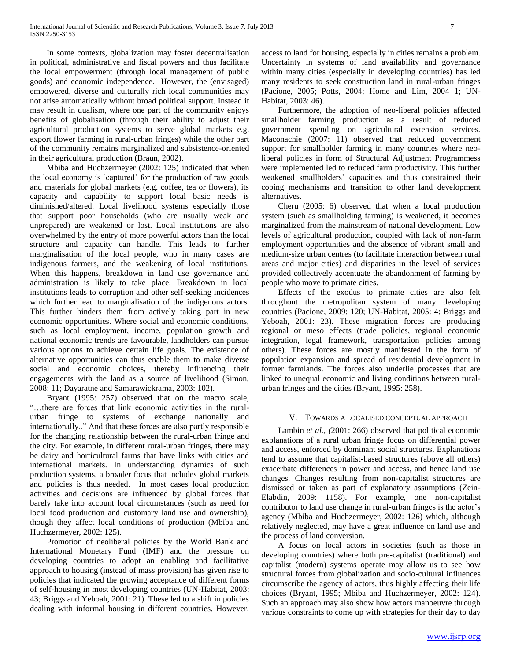In some contexts, globalization may foster decentralisation in political, administrative and fiscal powers and thus facilitate the local empowerment (through local management of public goods) and economic independence. However, the (envisaged) empowered, diverse and culturally rich local communities may not arise automatically without broad political support. Instead it may result in dualism, where one part of the community enjoys benefits of globalisation (through their ability to adjust their agricultural production systems to serve global markets e.g. export flower farming in rural-urban fringes) while the other part of the community remains marginalized and subsistence-oriented in their agricultural production (Braun, 2002).

 Mbiba and Huchzermeyer (2002: 125) indicated that when the local economy is "captured" for the production of raw goods and materials for global markets (e.g. coffee, tea or flowers), its capacity and capability to support local basic needs is diminished/altered. Local livelihood systems especially those that support poor households (who are usually weak and unprepared) are weakened or lost. Local institutions are also overwhelmed by the entry of more powerful actors than the local structure and capacity can handle. This leads to further marginalisation of the local people, who in many cases are indigenous farmers, and the weakening of local institutions. When this happens, breakdown in land use governance and administration is likely to take place. Breakdown in local institutions leads to corruption and other self-seeking incidences which further lead to marginalisation of the indigenous actors. This further hinders them from actively taking part in new economic opportunities. Where social and economic conditions, such as local employment, income, population growth and national economic trends are favourable, landholders can pursue various options to achieve certain life goals. The existence of alternative opportunities can thus enable them to make diverse social and economic choices, thereby influencing their engagements with the land as a source of livelihood (Simon, 2008: 11; Dayaratne and Samarawickrama, 2003: 102).

 Bryant (1995: 257) observed that on the macro scale, "…there are forces that link economic activities in the ruralurban fringe to systems of exchange nationally and internationally.." And that these forces are also partly responsible for the changing relationship between the rural-urban fringe and the city. For example, in different rural-urban fringes, there may be dairy and horticultural farms that have links with cities and international markets. In understanding dynamics of such production systems, a broader focus that includes global markets and policies is thus needed. In most cases local production activities and decisions are influenced by global forces that barely take into account local circumstances (such as need for local food production and customary land use and ownership), though they affect local conditions of production (Mbiba and Huchzermeyer, 2002: 125).

 Promotion of neoliberal policies by the World Bank and International Monetary Fund (IMF) and the pressure on developing countries to adopt an enabling and facilitative approach to housing (instead of mass provision) has given rise to policies that indicated the growing acceptance of different forms of self-housing in most developing countries (UN-Habitat, 2003: 43; Briggs and Yeboah, 2001: 21). These led to a shift in policies dealing with informal housing in different countries. However,

access to land for housing, especially in cities remains a problem. Uncertainty in systems of land availability and governance within many cities (especially in developing countries) has led many residents to seek construction land in rural-urban fringes (Pacione, 2005; Potts, 2004; Home and Lim, 2004 1; UN-Habitat, 2003: 46).

 Furthermore, the adoption of neo-liberal policies affected smallholder farming production as a result of reduced government spending on agricultural extension services. Maconachie (2007: 11) observed that reduced government support for smallholder farming in many countries where neoliberal policies in form of Structural Adjustment Programmess were implemented led to reduced farm productivity. This further weakened smallholders" capacities and thus constrained their coping mechanisms and transition to other land development alternatives.

 Cheru (2005: 6) observed that when a local production system (such as smallholding farming) is weakened, it becomes marginalized from the mainstream of national development. Low levels of agricultural production, coupled with lack of non-farm employment opportunities and the absence of vibrant small and medium-size urban centres (to facilitate interaction between rural areas and major cities) and disparities in the level of services provided collectively accentuate the abandonment of farming by people who move to primate cities.

 Effects of the exodus to primate cities are also felt throughout the metropolitan system of many developing countries (Pacione, 2009: 120; UN-Habitat, 2005: 4; Briggs and Yeboah, 2001: 23). These migration forces are producing regional or meso effects (trade policies, regional economic integration, legal framework, transportation policies among others). These forces are mostly manifested in the form of population expansion and spread of residential development in former farmlands. The forces also underlie processes that are linked to unequal economic and living conditions between ruralurban fringes and the cities (Bryant, 1995: 258).

## V. TOWARDS A LOCALISED CONCEPTUAL APPROACH

 Lambin *et al., (*2001: 266) observed that political economic explanations of a rural urban fringe focus on differential power and access, enforced by dominant social structures. Explanations tend to assume that capitalist-based structures (above all others) exacerbate differences in power and access, and hence land use changes. Changes resulting from non-capitalist structures are dismissed or taken as part of explanatory assumptions (Zein-Elabdin, 2009: 1158). For example, one non-capitalist contributor to land use change in rural-urban fringes is the actor's agency (Mbiba and Huchzermeyer, 2002: 126) which, although relatively neglected, may have a great influence on land use and the process of land conversion.

 A focus on local actors in societies (such as those in developing countries) where both pre-capitalist (traditional) and capitalist (modern) systems operate may allow us to see how structural forces from globalization and socio-cultural influences circumscribe the agency of actors, thus highly affecting their life choices (Bryant, 1995; Mbiba and Huchzermeyer, 2002: 124). Such an approach may also show how actors manoeuvre through various constraints to come up with strategies for their day to day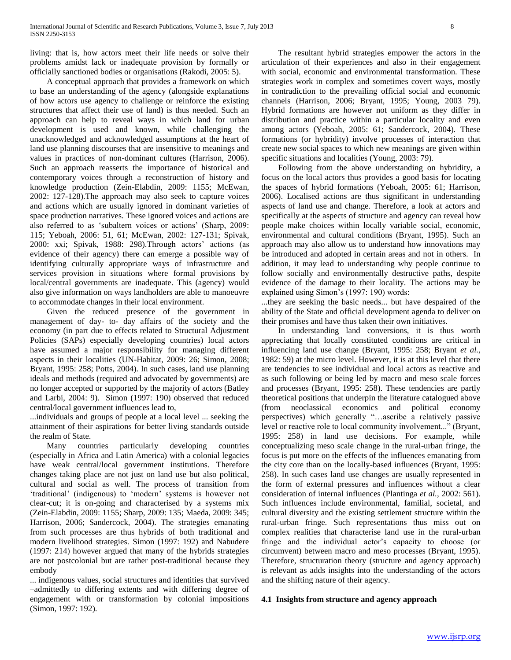living: that is, how actors meet their life needs or solve their problems amidst lack or inadequate provision by formally or officially sanctioned bodies or organisations (Rakodi, 2005: 5).

 A conceptual approach that provides a framework on which to base an understanding of the agency (alongside explanations of how actors use agency to challenge or reinforce the existing structures that affect their use of land) is thus needed. Such an approach can help to reveal ways in which land for urban development is used and known, while challenging the unacknowledged and acknowledged assumptions at the heart of land use planning discourses that are insensitive to meanings and values in practices of non-dominant cultures (Harrison, 2006). Such an approach reasserts the importance of historical and contemporary voices through a reconstruction of history and knowledge production (Zein-Elabdin, 2009: 1155; McEwan, 2002: 127-128).The approach may also seek to capture voices and actions which are usually ignored in dominant varieties of space production narratives. These ignored voices and actions are also referred to as "subaltern voices or actions" (Sharp, 2009: 115; Yeboah, 2006: 51, 61; McEwan, 2002: 127-131; Spivak, 2000: xxi; Spivak, 1988: 298). Through actors' actions (as evidence of their agency) there can emerge a possible way of identifying culturally appropriate ways of infrastructure and services provision in situations where formal provisions by local/central governments are inadequate. This (agency) would also give information on ways landholders are able to manoeuvre to accommodate changes in their local environment.

 Given the reduced presence of the government in management of day- to- day affairs of the society and the economy (in part due to effects related to Structural Adjustment Policies (SAPs) especially developing countries) local actors have assumed a major responsibility for managing different aspects in their localities (UN-Habitat, 2009: 26; Simon, 2008; Bryant, 1995: 258; Potts, 2004). In such cases, land use planning ideals and methods (required and advocated by governments) are no longer accepted or supported by the majority of actors (Batley and Larbi, 2004: 9). Simon (1997: 190) observed that reduced central/local government influences lead to,

...individuals and groups of people at a local level ... seeking the attainment of their aspirations for better living standards outside the realm of State.

 Many countries particularly developing countries (especially in Africa and Latin America) with a colonial legacies have weak central/local government institutions. Therefore changes taking place are not just on land use but also political, cultural and social as well. The process of transition from 'traditional' (indigenous) to 'modern' systems is however not clear-cut; it is on-going and characterised by a systems mix (Zein-Elabdin, 2009: 1155; Sharp, 2009: 135; Maeda, 2009: 345; Harrison, 2006; Sandercock, 2004). The strategies emanating from such processes are thus hybrids of both traditional and modern livelihood strategies. Simon (1997: 192) and Nabudere (1997: 214) however argued that many of the hybrids strategies are not postcolonial but are rather post-traditional because they embody

... indigenous values, social structures and identities that survived –admittedly to differing extents and with differing degree of engagement with or transformation by colonial impositions (Simon, 1997: 192).

 The resultant hybrid strategies empower the actors in the articulation of their experiences and also in their engagement with social, economic and environmental transformation. These strategies work in complex and sometimes covert ways, mostly in contradiction to the prevailing official social and economic channels (Harrison, 2006; Bryant, 1995; Young, 2003 79). Hybrid formations are however not uniform as they differ in distribution and practice within a particular locality and even among actors (Yeboah, 2005: 61; Sandercock, 2004). These formations (or hybridity) involve processes of interaction that create new social spaces to which new meanings are given within specific situations and localities (Young, 2003: 79).

 Following from the above understanding on hybridity, a focus on the local actors thus provides a good basis for locating the spaces of hybrid formations (Yeboah, 2005: 61; Harrison, 2006). Localised actions are thus significant in understanding aspects of land use and change. Therefore, a look at actors and specifically at the aspects of structure and agency can reveal how people make choices within locally variable social, economic, environmental and cultural conditions (Bryant, 1995). Such an approach may also allow us to understand how innovations may be introduced and adopted in certain areas and not in others. In addition, it may lead to understanding why people continue to follow socially and environmentally destructive paths, despite evidence of the damage to their locality. The actions may be explained using Simon"s (1997: 190) words:

...they are seeking the basic needs... but have despaired of the ability of the State and official development agenda to deliver on their promises and have thus taken their own initiatives.

 In understanding land conversions, it is thus worth appreciating that locally constituted conditions are critical in influencing land use change (Bryant, 1995: 258; Bryant *et al.,* 1982: 59) at the micro level. However, it is at this level that there are tendencies to see individual and local actors as reactive and as such following or being led by macro and meso scale forces and processes (Bryant, 1995: 258). These tendencies are partly theoretical positions that underpin the literature catalogued above (from neoclassical economics and political economy perspectives) which generally "…ascribe a relatively passive level or reactive role to local community involvement..." (Bryant, 1995: 258) in land use decisions. For example, while conceptualizing meso scale change in the rural-urban fringe, the focus is put more on the effects of the influences emanating from the city core than on the locally-based influences (Bryant, 1995: 258). In such cases land use changes are usually represented in the form of external pressures and influences without a clear consideration of internal influences (Plantinga *et al.,* 2002: 561). Such influences include environmental, familial, societal, and cultural diversity and the existing settlement structure within the rural-urban fringe. Such representations thus miss out on complex realities that characterise land use in the rural-urban fringe and the individual actor's capacity to choose (or circumvent) between macro and meso processes (Bryant, 1995). Therefore, structuration theory (structure and agency approach) is relevant as adds insights into the understanding of the actors and the shifting nature of their agency.

#### **4.1 Insights from structure and agency approach**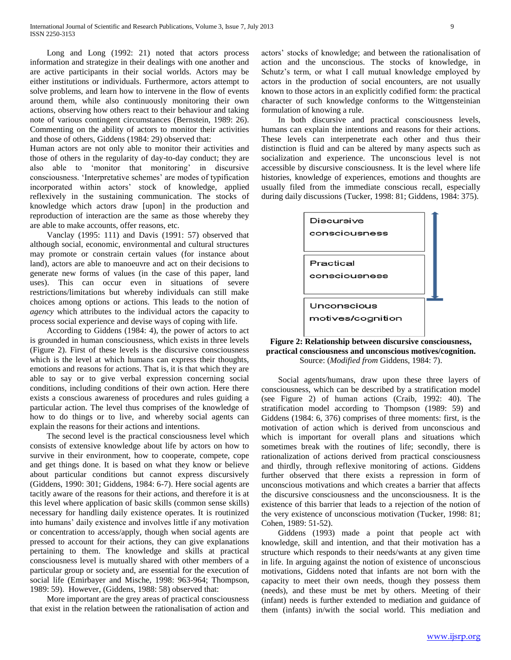Long and Long (1992: 21) noted that actors process information and strategize in their dealings with one another and are active participants in their social worlds. Actors may be either institutions or individuals. Furthermore, actors attempt to solve problems, and learn how to intervene in the flow of events around them, while also continuously monitoring their own actions, observing how others react to their behaviour and taking note of various contingent circumstances (Bernstein, 1989: 26). Commenting on the ability of actors to monitor their activities and those of others, Giddens (1984: 29) observed that:

Human actors are not only able to monitor their activities and those of others in the regularity of day-to-day conduct; they are also able to 'monitor that monitoring' in discursive consciousness. "Interpretative schemes" are modes of typification incorporated within actors" stock of knowledge, applied reflexively in the sustaining communication. The stocks of knowledge which actors draw [upon] in the production and reproduction of interaction are the same as those whereby they are able to make accounts, offer reasons, etc.

 Vanclay (1995: 111) and Davis (1991: 57) observed that although social, economic, environmental and cultural structures may promote or constrain certain values (for instance about land), actors are able to manoeuvre and act on their decisions to generate new forms of values (in the case of this paper, land uses). This can occur even in situations of severe restrictions/limitations but whereby individuals can still make choices among options or actions. This leads to the notion of *agency* which attributes to the individual actors the capacity to process social experience and devise ways of coping with life.

 According to Giddens (1984: 4), the power of actors to act is grounded in human consciousness, which exists in three levels (Figure 2). First of these levels is the discursive consciousness which is the level at which humans can express their thoughts, emotions and reasons for actions. That is, it is that which they are able to say or to give verbal expression concerning social conditions, including conditions of their own action. Here there exists a conscious awareness of procedures and rules guiding a particular action. The level thus comprises of the knowledge of how to do things or to live, and whereby social agents can explain the reasons for their actions and intentions.

 The second level is the practical consciousness level which consists of extensive knowledge about life by actors on how to survive in their environment, how to cooperate, compete, cope and get things done. It is based on what they know or believe about particular conditions but cannot express discursively (Giddens, 1990: 301; Giddens, 1984: 6-7). Here social agents are tacitly aware of the reasons for their actions, and therefore it is at this level where application of basic skills (common sense skills) necessary for handling daily existence operates. It is routinized into humans" daily existence and involves little if any motivation or concentration to access/apply, though when social agents are pressed to account for their actions, they can give explanations pertaining to them. The knowledge and skills at practical consciousness level is mutually shared with other members of a particular group or society and, are essential for the execution of social life (Emirbayer and Mische, 1998: 963-964; Thompson, 1989: 59). However, (Giddens, 1988: 58) observed that:

 More important are the grey areas of practical consciousness that exist in the relation between the rationalisation of action and actors" stocks of knowledge; and between the rationalisation of action and the unconscious. The stocks of knowledge, in Schutz's term, or what I call mutual knowledge employed by actors in the production of social encounters, are not usually known to those actors in an explicitly codified form: the practical character of such knowledge conforms to the Wittgensteinian formulation of knowing a rule.

 In both discursive and practical consciousness levels, humans can explain the intentions and reasons for their actions. These levels can interpenetrate each other and thus their distinction is fluid and can be altered by many aspects such as socialization and experience. The unconscious level is not accessible by discursive consciousness. It is the level where life histories, knowledge of experiences, emotions and thoughts are usually filed from the immediate conscious recall, especially during daily discussions (Tucker, 1998: 81; Giddens, 1984: 375).



**Figure 2: Relationship between discursive consciousness, practical consciousness and unconscious motives/cognition.**  Source: (*Modified from* Giddens, 1984: 7).

 Social agents/humans, draw upon these three layers of consciousness, which can be described by a stratification model (see Figure 2) of human actions (Craib, 1992: 40). The stratification model according to Thompson (1989: 59) and Giddens (1984: 6, 376) comprises of three moments: first, is the motivation of action which is derived from unconscious and which is important for overall plans and situations which sometimes break with the routines of life; secondly, there is rationalization of actions derived from practical consciousness and thirdly, through reflexive monitoring of actions. Giddens further observed that there exists a repression in form of unconscious motivations and which creates a barrier that affects the discursive consciousness and the unconsciousness. It is the existence of this barrier that leads to a rejection of the notion of the very existence of unconscious motivation (Tucker, 1998: 81; Cohen, 1989: 51-52).

 Giddens (1993) made a point that people act with knowledge, skill and intention, and that their motivation has a structure which responds to their needs/wants at any given time in life. In arguing against the notion of existence of unconscious motivations, Giddens noted that infants are not born with the capacity to meet their own needs, though they possess them (needs), and these must be met by others. Meeting of their (infant) needs is further extended to mediation and guidance of them (infants) in/with the social world. This mediation and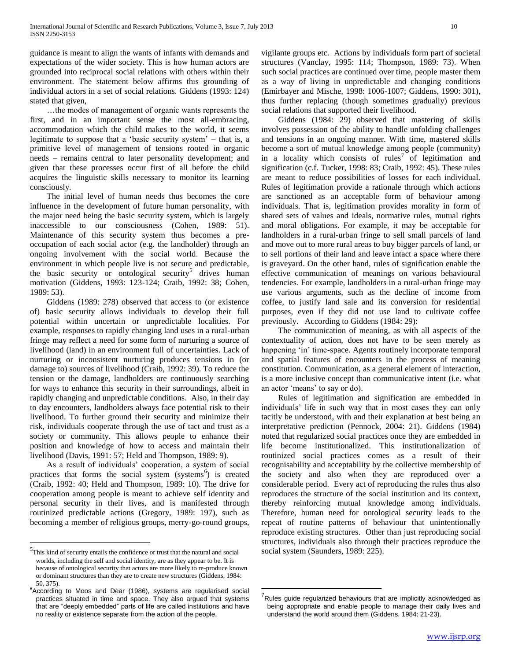guidance is meant to align the wants of infants with demands and expectations of the wider society. This is how human actors are grounded into reciprocal social relations with others within their environment. The statement below affirms this grounding of individual actors in a set of social relations. Giddens (1993: 124) stated that given,

 …the modes of management of organic wants represents the first, and in an important sense the most all-embracing, accommodation which the child makes to the world, it seems legitimate to suppose that a 'basic security system' – that is, a primitive level of management of tensions rooted in organic needs – remains central to later personality development; and given that these processes occur first of all before the child acquires the linguistic skills necessary to monitor its learning consciously.

 The initial level of human needs thus becomes the core influence in the development of future human personality, with the major need being the basic security system, which is largely inaccessible to our consciousness (Cohen, 1989: 51). Maintenance of this security system thus becomes a preoccupation of each social actor (e.g. the landholder) through an ongoing involvement with the social world. Because the environment in which people live is not secure and predictable, the basic security or ontological security<sup>5</sup> drives human motivation (Giddens, 1993: 123-124; Craib, 1992: 38; Cohen, 1989: 53).

 Giddens (1989: 278) observed that access to (or existence of) basic security allows individuals to develop their full potential within uncertain or unpredictable localities. For example, responses to rapidly changing land uses in a rural-urban fringe may reflect a need for some form of nurturing a source of livelihood (land) in an environment full of uncertainties. Lack of nurturing or inconsistent nurturing produces tensions in (or damage to) sources of livelihood (Craib, 1992: 39). To reduce the tension or the damage, landholders are continuously searching for ways to enhance this security in their surroundings, albeit in rapidly changing and unpredictable conditions. Also, in their day to day encounters, landholders always face potential risk to their livelihood. To further ground their security and minimize their risk, individuals cooperate through the use of tact and trust as a society or community. This allows people to enhance their position and knowledge of how to access and maintain their livelihood (Davis, 1991: 57; Held and Thompson, 1989: 9).

 As a result of individuals" cooperation, a system of social practices that forms the social system (systems<sup>6</sup>) is created (Craib, 1992: 40; Held and Thompson, 1989: 10). The drive for cooperation among people is meant to achieve self identity and personal security in their lives, and is manifested through routinized predictable actions (Gregory, 1989: 197), such as becoming a member of religious groups, merry-go-round groups,

 $\overline{a}$ 

vigilante groups etc. Actions by individuals form part of societal structures (Vanclay, 1995: 114; Thompson, 1989: 73). When such social practices are continued over time, people master them as a way of living in unpredictable and changing conditions (Emirbayer and Mische, 1998: 1006-1007; Giddens, 1990: 301), thus further replacing (though sometimes gradually) previous social relations that supported their livelihood.

 Giddens (1984: 29) observed that mastering of skills involves possession of the ability to handle unfolding challenges and tensions in an ongoing manner. With time, mastered skills become a sort of mutual knowledge among people (community) in a locality which consists of rules<sup>7</sup> of legitimation and signification (c.f. Tucker, 1998: 83; Craib, 1992: 45). These rules are meant to reduce possibilities of losses for each individual. Rules of legitimation provide a rationale through which actions are sanctioned as an acceptable form of behaviour among individuals. That is, legitimation provides morality in form of shared sets of values and ideals, normative rules, mutual rights and moral obligations. For example, it may be acceptable for landholders in a rural-urban fringe to sell small parcels of land and move out to more rural areas to buy bigger parcels of land, or to sell portions of their land and leave intact a space where there is graveyard. On the other hand, rules of signification enable the effective communication of meanings on various behavioural tendencies. For example, landholders in a rural-urban fringe may use various arguments, such as the decline of income from coffee, to justify land sale and its conversion for residential purposes, even if they did not use land to cultivate coffee previously. According to Giddens (1984: 29):

 The communication of meaning, as with all aspects of the contextuality of action, does not have to be seen merely as happening 'in' time-space. Agents routinely incorporate temporal and spatial features of encounters in the process of meaning constitution. Communication, as a general element of interaction, is a more inclusive concept than communicative intent (i.e. what an actor "means" to say or do).

 Rules of legitimation and signification are embedded in individuals" life in such way that in most cases they can only tacitly be understood, with and their explanation at best being an interpretative prediction (Pennock, 2004: 21). Giddens (1984) noted that regularized social practices once they are embedded in life become institutionalized. This institutionalization of routinized social practices comes as a result of their recognisability and acceptability by the collective membership of the society and also when they are reproduced over a considerable period. Every act of reproducing the rules thus also reproduces the structure of the social institution and its context, thereby reinforcing mutual knowledge among individuals. Therefore, human need for ontological security leads to the repeat of routine patterns of behaviour that unintentionally reproduce existing structures. Other than just reproducing social structures, individuals also through their practices reproduce the social system (Saunders, 1989: 225).

<sup>&</sup>lt;sup>5</sup>This kind of security entails the confidence or trust that the natural and social worlds, including the self and social identity, are as they appear to be. It is because of ontological security that actors are more likely to re-produce known or dominant structures than they are to create new structures (Giddens, 1984: 50, 375).

<sup>&</sup>lt;sup>6</sup>According to Moos and Dear (1986), systems are regularised social practices situated in time and space. They also argued that systems that are "deeply embedded" parts of life are called institutions and have no reality or existence separate from the action of the people.

 $7$ Rules guide regularized behaviours that are implicitly acknowledged as being appropriate and enable people to manage their daily lives and understand the world around them (Giddens, 1984: 21-23).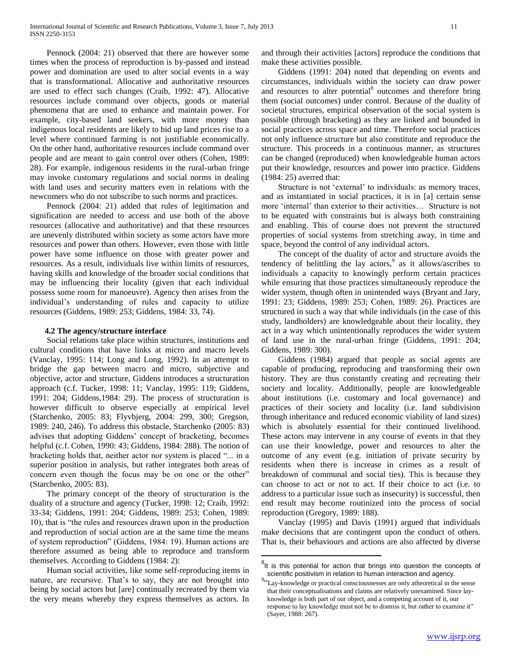Pennock (2004: 21) observed that there are however some times when the process of reproduction is by-passed and instead power and domination are used to alter social events in a way that is transformational. Allocative and authoritative resources are used to effect such changes (Craib, 1992: 47). Allocative resources include command over objects, goods or material phenomena that are used to enhance and maintain power. For example, city-based land seekers, with more money than indigenous local residents are likely to bid up land prices rise to a level where continued farming is not justifiable economically. On the other hand, authoritative resources include command over people and are meant to gain control over others (Cohen, 1989: 28). For example, indigenous residents in the rural-urban fringe may invoke customary regulations and social norms in dealing with land uses and security matters even in relations with the newcomers who do not subscribe to such norms and practices.

 Pennock (2004: 21) added that rules of legitimation and signification are needed to access and use both of the above resources (allocative and authoritative) and that these resources are unevenly distributed within society as some actors have more resources and power than others. However, even those with little power have some influence on those with greater power and resources. As a result, individuals live within limits of resources, having skills and knowledge of the broader social conditions that may be influencing their locality (given that each individual possess some room for manoeuvre). Agency then arises from the individual"s understanding of rules and capacity to utilize resources (Giddens, 1989: 253; Giddens, 1984: 33, 74).

#### **4.2 The agency/structure interface**

 Social relations take place within structures, institutions and cultural conditions that have links at micro and macro levels (Vanclay, 1995: 114; Long and Long, 1992). In an attempt to bridge the gap between macro and micro, subjective and objective, actor and structure, Giddens introduces a structuration approach (c.f. Tucker, 1998: 11; Vanclay, 1995: 119; Giddens, 1991: 204; Giddens,1984: 29). The process of structuration is however difficult to observe especially at empirical level (Starchenko, 2005: 83; Flyvbjerg, 2004: 299, 300; Gregson, 1989: 240, 246). To address this obstacle, Starchenko (2005: 83) advises that adopting Giddens" concept of bracketing, becomes helpful (c.f. Cohen, 1990: 43; Giddens, 1984: 288). The notion of bracketing holds that, neither actor nor system is placed "... in a superior position in analysis, but rather integrates both areas of concern even though the focus may be on one or the other" (Starchenko, 2005: 83).

 The primary concept of the theory of structuration is the duality of a structure and agency (Tucker, 1998: 12; Craib, 1992: 33-34; Giddens, 1991: 204; Giddens, 1989: 253; Cohen, 1989: 10), that is "the rules and resources drawn upon in the production and reproduction of social action are at the same time the means of system reproduction" (Giddens, 1984: 19). Human actions are therefore assumed as being able to reproduce and transform themselves. According to Giddens (1984: 2):

 Human social activities, like some self-reproducing items in nature, are recursive. That's to say, they are not brought into being by social actors but [are] continually recreated by them via the very means whereby they express themselves as actors. In

and through their activities [actors] reproduce the conditions that make these activities possible.

 Giddens (1991: 204) noted that depending on events and circumstances, individuals within the society can draw power and resources to alter potential<sup>8</sup> outcomes and therefore bring them (social outcomes) under control. Because of the duality of societal structures, empirical observation of the social system is possible (through bracketing) as they are linked and bounded in social practices across space and time. Therefore social practices not only influence structure but also constitute and reproduce the structure. This proceeds in a continuous manner, as structures can be changed (reproduced) when knowledgeable human actors put their knowledge, resources and power into practice. Giddens (1984: 25) averred that:

 Structure is not "external" to individuals: as memory traces, and as instantiated in social practices, it is in [a] certain sense more 'internal' than exterior to their activities... Structure is not to be equated with constraints but is always both constraining and enabling. This of course does not prevent the structured properties of social systems from stretching away, in time and space, beyond the control of any individual actors.

 The concept of the duality of actor and structure avoids the tendency of belittling the lay actors,  $9$  as it allows/ascribes to individuals a capacity to knowingly perform certain practices while ensuring that those practices simultaneously reproduce the wider system, though often in unintended ways (Bryant and Jary, 1991: 23; Giddens, 1989: 253; Cohen, 1989: 26). Practices are structured in such a way that while individuals (in the case of this study, landholders) are knowledgeable about their locality, they act in a way which unintentionally reproduces the wider system of land use in the rural-urban fringe (Giddens, 1991: 204; Giddens, 1989: 300).

 Giddens (1984) argued that people as social agents are capable of producing, reproducing and transforming their own history. They are thus constantly creating and recreating their society and locality. Additionally, people are knowledgeable about institutions (i.e. customary and local governance) and practices of their society and locality (i.e. land subdivision through inheritance and reduced economic viability of land sizes) which is absolutely essential for their continued livelihood. These actors may intervene in any course of events in that they can use their knowledge, power and resources to alter the outcome of any event (e.g. initiation of private security by residents when there is increase in crimes as a result of breakdown of communal and social ties). This is because they can choose to act or not to act. If their choice to act (i.e. to address to a particular issue such as insecurity) is successful, then end result may become routinized into the process of social reproduction (Gregory, 1989: 188).

 Vanclay (1995) and Davis (1991) argued that individuals make decisions that are contingent upon the conduct of others. That is, their behaviours and actions are also affected by diverse

 $8$ It is this potential for action that brings into question the concepts of scientific positivism in relation to human interaction and agency.

<sup>&</sup>lt;sup>9</sup><sup>4</sup>Lay-knowledge or practical consciousnesses are only atheoretical in the sense that their conceptualisations and claims are relatively unexamined. Since layknowledge is both part of our object, and a competing account of it, our response to lay knowledge must not be to dismiss it, but rather to examine it" (Sayer, 1988: 267).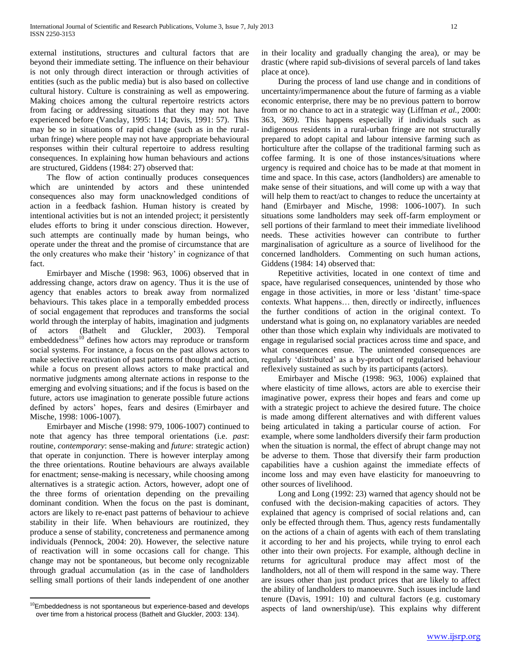external institutions, structures and cultural factors that are beyond their immediate setting. The influence on their behaviour is not only through direct interaction or through activities of entities (such as the public media) but is also based on collective cultural history. Culture is constraining as well as empowering. Making choices among the cultural repertoire restricts actors from facing or addressing situations that they may not have experienced before (Vanclay, 1995: 114; Davis, 1991: 57). This may be so in situations of rapid change (such as in the ruralurban fringe) where people may not have appropriate behavioural responses within their cultural repertoire to address resulting consequences. In explaining how human behaviours and actions are structured, Giddens (1984: 27) observed that:

 The flow of action continually produces consequences which are unintended by actors and these unintended consequences also may form unacknowledged conditions of action in a feedback fashion. Human history is created by intentional activities but is not an intended project; it persistently eludes efforts to bring it under conscious direction. However, such attempts are continually made by human beings, who operate under the threat and the promise of circumstance that are the only creatures who make their "history" in cognizance of that fact.

 Emirbayer and Mische (1998: 963, 1006) observed that in addressing change, actors draw on agency. Thus it is the use of agency that enables actors to break away from normalized behaviours. This takes place in a temporally embedded process of social engagement that reproduces and transforms the social world through the interplay of habits, imagination and judgments of actors (Bathelt and Gluckler, 2003). Temporal embeddedness<sup>10</sup> defines how actors may reproduce or transform social systems. For instance, a focus on the past allows actors to make selective reactivation of past patterns of thought and action, while a focus on present allows actors to make practical and normative judgments among alternate actions in response to the emerging and evolving situations; and if the focus is based on the future, actors use imagination to generate possible future actions defined by actors" hopes, fears and desires (Emirbayer and Mische, 1998: 1006-1007).

 Emirbayer and Mische (1998: 979, 1006-1007) continued to note that agency has three temporal orientations (i.e. *past*: routine, *contemporary*: sense-making and *future*: strategic action) that operate in conjunction. There is however interplay among the three orientations. Routine behaviours are always available for enactment; sense-making is necessary, while choosing among alternatives is a strategic action. Actors, however, adopt one of the three forms of orientation depending on the prevailing dominant condition. When the focus on the past is dominant, actors are likely to re-enact past patterns of behaviour to achieve stability in their life. When behaviours are routinized, they produce a sense of stability, concreteness and permanence among individuals (Pennock, 2004: 20). However, the selective nature of reactivation will in some occasions call for change. This change may not be spontaneous, but become only recognizable through gradual accumulation (as in the case of landholders selling small portions of their lands independent of one another

 $\overline{a}$ <sup>10</sup>Embeddedness is not spontaneous but experience-based and develops over time from a historical process (Bathelt and Gluckler, 2003: 134).

in their locality and gradually changing the area), or may be drastic (where rapid sub-divisions of several parcels of land takes place at once).

 During the process of land use change and in conditions of uncertainty/impermanence about the future of farming as a viable economic enterprise, there may be no previous pattern to borrow from or no chance to act in a strategic way (Liffman *et al.,* 2000: 363, 369*)*. This happens especially if individuals such as indigenous residents in a rural-urban fringe are not structurally prepared to adopt capital and labour intensive farming such as horticulture after the collapse of the traditional farming such as coffee farming. It is one of those instances/situations where urgency is required and choice has to be made at that moment in time and space. In this case, actors (landholders) are amenable to make sense of their situations, and will come up with a way that will help them to react/act to changes to reduce the uncertainty at hand (Emirbayer and Mische, 1998: 1006-1007). In such situations some landholders may seek off-farm employment or sell portions of their farmland to meet their immediate livelihood needs. These activities however can contribute to further marginalisation of agriculture as a source of livelihood for the concerned landholders. Commenting on such human actions, Giddens (1984: 14) observed that:

 Repetitive activities, located in one context of time and space, have regularised consequences, unintended by those who engage in those activities, in more or less 'distant' time-space contexts. What happens… then, directly or indirectly, influences the further conditions of action in the original context. To understand what is going on, no explanatory variables are needed other than those which explain why individuals are motivated to engage in regularised social practices across time and space, and what consequences ensue. The unintended consequences are regularly "distributed" as a by-product of regularised behaviour reflexively sustained as such by its participants (actors).

 Emirbayer and Mische (1998: 963, 1006) explained that where elasticity of time allows, actors are able to exercise their imaginative power, express their hopes and fears and come up with a strategic project to achieve the desired future. The choice is made among different alternatives and with different values being articulated in taking a particular course of action. For example, where some landholders diversify their farm production when the situation is normal, the effect of abrupt change may not be adverse to them. Those that diversify their farm production capabilities have a cushion against the immediate effects of income loss and may even have elasticity for manoeuvring to other sources of livelihood.

 Long and Long (1992: 23) warned that agency should not be confused with the decision-making capacities of actors. They explained that agency is comprised of social relations and, can only be effected through them. Thus, agency rests fundamentally on the actions of a chain of agents with each of them translating it according to her and his projects, while trying to enrol each other into their own project*s*. For example, although decline in returns for agricultural produce may affect most of the landholders, not all of them will respond in the same way. There are issues other than just product prices that are likely to affect the ability of landholders to manoeuvre. Such issues include land tenure (Davis, 1991: 10) and cultural factors (e.g. customary aspects of land ownership/use). This explains why different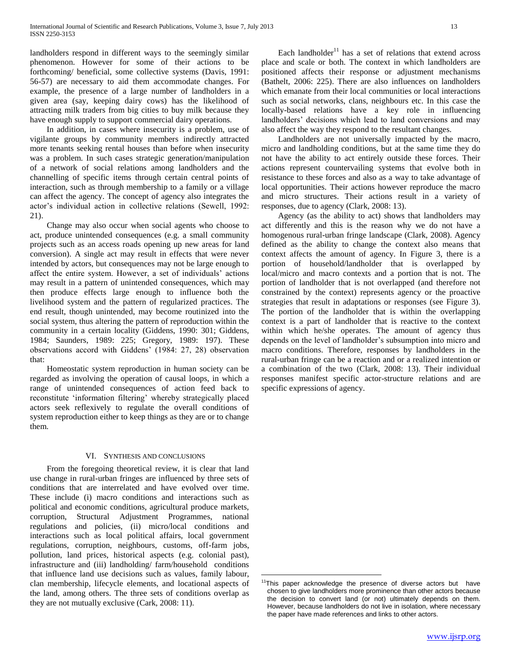landholders respond in different ways to the seemingly similar phenomenon. However for some of their actions to be forthcoming/ beneficial, some collective systems (Davis, 1991: 56-57) are necessary to aid them accommodate changes. For example, the presence of a large number of landholders in a given area (say, keeping dairy cows) has the likelihood of attracting milk traders from big cities to buy milk because they have enough supply to support commercial dairy operations.

 In addition, in cases where insecurity is a problem, use of vigilante groups by community members indirectly attracted more tenants seeking rental houses than before when insecurity was a problem. In such cases strategic generation/manipulation of a network of social relations among landholders and the channelling of specific items through certain central points of interaction, such as through membership to a family or a village can affect the agency. The concept of agency also integrates the actor"s individual action in collective relations (Sewell, 1992: 21).

 Change may also occur when social agents who choose to act, produce unintended consequences (e.g. a small community projects such as an access roads opening up new areas for land conversion). A single act may result in effects that were never intended by actors, but consequences may not be large enough to affect the entire system. However, a set of individuals' actions may result in a pattern of unintended consequences, which may then produce effects large enough to influence both the livelihood system and the pattern of regularized practices. The end result, though unintended, may become routinized into the social system, thus altering the pattern of reproduction within the community in a certain locality (Giddens, 1990: 301; Giddens, 1984; Saunders, 1989: 225; Gregory, 1989: 197). These observations accord with Giddens" (1984: 27, 28) observation that:

 Homeostatic system reproduction in human society can be regarded as involving the operation of causal loops, in which a range of unintended consequences of action feed back to reconstitute "information filtering" whereby strategically placed actors seek reflexively to regulate the overall conditions of system reproduction either to keep things as they are or to change them.

#### VI. SYNTHESIS AND CONCLUSIONS

 From the foregoing theoretical review, it is clear that land use change in rural-urban fringes are influenced by three sets of conditions that are interrelated and have evolved over time. These include (i) macro conditions and interactions such as political and economic conditions, agricultural produce markets, corruption, Structural Adjustment Programmes, national regulations and policies, (ii) micro/local conditions and interactions such as local political affairs, local government regulations, corruption, neighbours, customs, off-farm jobs, pollution, land prices, historical aspects (e.g. colonial past), infrastructure and (iii) landholding/ farm/household conditions that influence land use decisions such as values, family labour, clan membership, lifecycle elements, and locational aspects of the land, among others. The three sets of conditions overlap as they are not mutually exclusive (Cark, 2008: 11).

Each landholder<sup>11</sup> has a set of relations that extend across place and scale or both. The context in which landholders are positioned affects their response or adjustment mechanisms (Bathelt, 2006: 225). There are also influences on landholders which emanate from their local communities or local interactions such as social networks, clans, neighbours etc. In this case the locally-based relations have a key role in influencing landholders' decisions which lead to land conversions and may also affect the way they respond to the resultant changes.

 Landholders are not universally impacted by the macro, micro and landholding conditions, but at the same time they do not have the ability to act entirely outside these forces. Their actions represent countervailing systems that evolve both in resistance to these forces and also as a way to take advantage of local opportunities. Their actions however reproduce the macro and micro structures. Their actions result in a variety of responses, due to agency (Clark, 2008: 13).

 Agency (as the ability to act) shows that landholders may act differently and this is the reason why we do not have a homogenous rural-urban fringe landscape (Clark, 2008). Agency defined as the ability to change the context also means that context affects the amount of agency. In Figure 3, there is a portion of household/landholder that is overlapped by local/micro and macro contexts and a portion that is not. The portion of landholder that is not overlapped (and therefore not constrained by the context) represents agency or the proactive strategies that result in adaptations or responses (see Figure 3). The portion of the landholder that is within the overlapping context is a part of landholder that is reactive to the context within which he/she operates. The amount of agency thus depends on the level of landholder"s subsumption into micro and macro conditions. Therefore, responses by landholders in the rural-urban fringe can be a reaction and or a realized intention or a combination of the two (Clark, 2008: 13). Their individual responses manifest specific actor-structure relations and are specific expressions of agency.

 $11$ This paper acknowledge the presence of diverse actors but have chosen to give landholders more prominence than other actors because the decision to convert land (or not) ultimately depends on them. However, because landholders do not live in isolation, where necessary the paper have made references and links to other actors.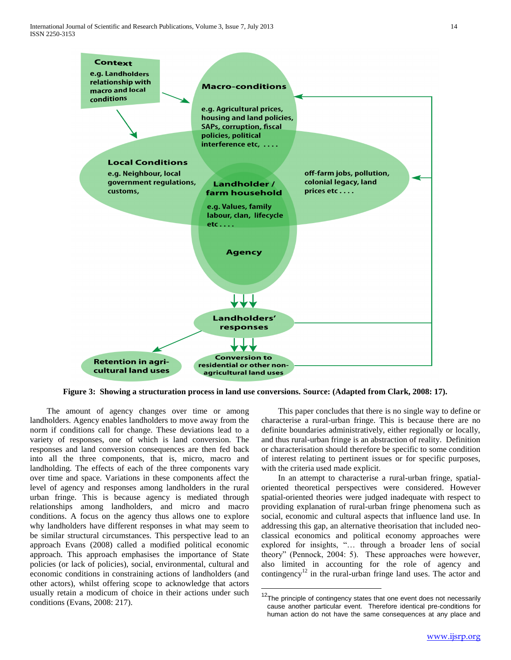

**Figure 3: Showing a structuration process in land use conversions. Source: (Adapted from Clark, 2008: 17).**

 $\overline{a}$ 

 The amount of agency changes over time or among landholders. Agency enables landholders to move away from the norm if conditions call for change. These deviations lead to a variety of responses, one of which is land conversion. The responses and land conversion consequences are then fed back into all the three components, that is, micro, macro and landholding. The effects of each of the three components vary over time and space. Variations in these components affect the level of agency and responses among landholders in the rural urban fringe. This is because agency is mediated through relationships among landholders, and micro and macro conditions. A focus on the agency thus allows one to explore why landholders have different responses in what may seem to be similar structural circumstances. This perspective lead to an approach Evans (2008) called a modified political economic approach. This approach emphasises the importance of State policies (or lack of policies), social, environmental, cultural and economic conditions in constraining actions of landholders (and other actors), whilst offering scope to acknowledge that actors usually retain a modicum of choice in their actions under such conditions (Evans, 2008: 217).

 This paper concludes that there is no single way to define or characterise a rural-urban fringe. This is because there are no definite boundaries administratively, either regionally or locally, and thus rural-urban fringe is an abstraction of reality. Definition or characterisation should therefore be specific to some condition of interest relating to pertinent issues or for specific purposes, with the criteria used made explicit.

 In an attempt to characterise a rural-urban fringe, spatialoriented theoretical perspectives were considered. However spatial-oriented theories were judged inadequate with respect to providing explanation of rural-urban fringe phenomena such as social, economic and cultural aspects that influence land use. In addressing this gap, an alternative theorisation that included neoclassical economics and political economy approaches were explored for insights, "… through a broader lens of social theory" (Pennock, 2004: 5). These approaches were however, also limited in accounting for the role of agency and contingency<sup>12</sup> in the rural-urban fringe land uses. The actor and

 $12$ The principle of contingency states that one event does not necessarily cause another particular event. Therefore identical pre-conditions for human action do not have the same consequences at any place and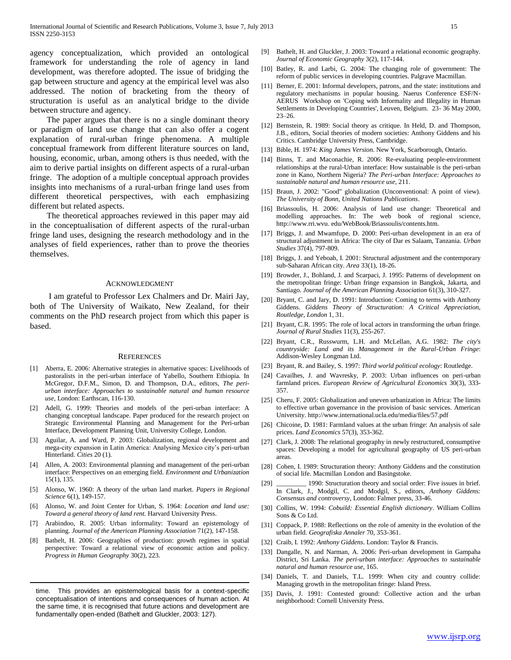agency conceptualization, which provided an ontological framework for understanding the role of agency in land development, was therefore adopted. The issue of bridging the gap between structure and agency at the empirical level was also addressed. The notion of bracketing from the theory of structuration is useful as an analytical bridge to the divide between structure and agency.

 The paper argues that there is no a single dominant theory or paradigm of land use change that can also offer a cogent explanation of rural-urban fringe phenomena. A multiple conceptual framework from different literature sources on land, housing, economic, urban, among others is thus needed, with the aim to derive partial insights on different aspects of a rural-urban fringe. The adoption of a multiple conceptual approach provides insights into mechanisms of a rural-urban fringe land uses from different theoretical perspectives, with each emphasizing different but related aspects.

 The theoretical approaches reviewed in this paper may aid in the conceptualisation of different aspects of the rural-urban fringe land uses, designing the research methodology and in the analyses of field experiences, rather than to prove the theories themselves.

#### ACKNOWLEDGMENT

 I am grateful to Professor Lex Chalmers and Dr. Mairi Jay, both of The University of Waikato, New Zealand, for their comments on the PhD research project from which this paper is based.

#### **REFERENCES**

- [1] Aberra, E. 2006: Alternative strategies in alternative spaces: Livelihoods of pastoralists in the peri-urban interface of Yabello, Southern Ethiopia. In McGregor, D.F.M., Simon, D. and Thompson, D.A., editors, *The periurban interface: Approaches to sustainable natural and human resource use,* London: Earthscan, 116-130.
- [2] Adell, G. 1999: Theories and models of the peri-urban interface: A changing conceptual landscape. Paper produced for the research project on Strategic Environmental Planning and Management for the Peri-urban Interface, Development Planning Unit, University College, London.
- [3] Aguilar, A. and Ward, P. 2003: Globalization, regional development and mega-city expansion in Latin America: Analysing Mexico city's peri-urban Hinterland. *Cities* 20 (1).
- [4] Allen, A. 2003: Environmental planning and management of the peri-urban interface: Perspectives on an emerging field. *Environment and Urbanization* 15(1), 135.
- [5] Alonso, W. 1960: A theory of the urban land market. *Papers in Regional Science* 6(1), 149-157.
- [6] Alonso, W. and Joint Center for Urban, S. 1964: *Location and land use: Toward a general theory of land rent.* Harvard University Press.
- [7] Arabindoo, R. 2005: Urban informality: Toward an epistemology of planning. *Journal of the American Planning Association* 71(2), 147-158.
- [8] Bathelt, H. 2006: Geographies of production: growth regimes in spatial perspective: Toward a relational view of economic action and policy. *Progress in Human Geography* 30(2), 223.

time. This provides an epistemological basis for a context-specific conceptualisation of intentions and consequences of human action. At the same time, it is recognised that future actions and development are fundamentally open-ended (Bathelt and Gluckler, 2003: 127).

- [9] Bathelt, H. and Gluckler, J. 2003: Toward a relational economic geography. *Journal of Economic Geography* 3(2), 117-144.
- [10] Batley, R. and Larbi, G. 2004: The changing role of government: The reform of public services in developing countries. Palgrave Macmillan.
- [11] Berner, E. 2001: Informal developers, patrons, and the state: institutions and regulatory mechanisms in popular housing. Naerus Conference ESF/N-AERUS Workshop on 'Coping with Informality and Illegality in Human Settlements in Developing Countries', Leuven, Belgium. 23- 36 May 2000, 23–26.
- [12] Bernstein, R. 1989: Social theory as critique. In Held, D. and Thompson, J.B., editors, Social theories of modern societies: Anthony Giddens and his Critics. Cambridge University Press, Cambridge.
- [13] Bible, H. 1974: *King James Version*. New York, Scarborough, Ontario.
- [14] Binns, T. and Maconachie, R. 2006: Re-evaluating people-environment relationships at the rural-Urban interface: How sustainable is the peri-urban zone in Kano, Northern Nigeria? *The Peri-urban Interface: Approaches to sustainable natural and human resource use*, 211.
- [15] Braun, J. 2002: "Good" globalization (Unconventional: A point of view). *The University of Bonn, United Nations Publications*.
- [16] Briassoulis, H. 2006: Analysis of land use change: Theoretical and modelling approaches. In: The web book of regional science, http://www.rri.wvu. edu/WebBook/Briassoulis/contents.htm.
- [17] Briggs, J. and Mwamfupe, D. 2000: Peri-urban development in an era of structural adjustment in Africa: The city of Dar es Salaam, Tanzania. *Urban Studies* 37(4), 797-809.
- [18] Briggs, J. and Yeboah, I. 2001: Structural adjustment and the contemporary sub-Saharan African city. *Area* 33(1), 18-26.
- [19] Browder, J., Bohland, J. and Scarpaci, J. 1995: Patterns of development on the metropolitan fringe: Urban fringe expansion in Bangkok, Jakarta, and Santiago. *Journal of the American Planning Association* 61(3), 310-327.
- [20] Brvant, C. and Jary, D. 1991: Introduction: Coming to terms with Anthony Giddens. *Giddens Theory of Structuration: A Critical Appreciation, Routledge, London* 1, 31.
- [21] Bryant, C.R. 1995: The role of local actors in transforming the urban fringe. *Journal of Rural Studies* 11(3), 255-267.
- [22] Bryant, C.R., Russwurm, L.H. and McLellan, A.G. 1982: *The city's countryside: Land and its Management in the Rural-Urban Fringe*: Addison-Wesley Longman Ltd.
- [23] Bryant, R. and Bailey, S. 1997: *Third world political ecology*: Routledge.
- [24] Cavailhes, J. and Wavresky, P. 2003: Urban influences on peri-urban farmland prices. *European Review of Agricultural Economics* 30(3), 333- 357.
- [25] Cheru, F. 2005: Globalization and uneven urbanization in Africa: The limits to effective urban governance in the provision of basic services. American University. http://www.international.ucla.edu/media/files/57.pdf
- [26] Chicoine, D. 1981: Farmland values at the urban fringe: An analysis of sale prices. *Land Economics* 57(3), 353-362.
- [27] Clark, J. 2008: The relational geography in newly restructured, consumptive spaces: Developing a model for agricultural geography of US peri-urban areas.
- [28] Cohen, I. 1989: Structuration theory: Anthony Giddens and the constitution of social life. Macmillan London and Basingstoke.
- [29] \_\_\_\_\_\_\_\_ 1990: Structuration theory and social order: Five issues in brief. In Clark, J., Modgil, C. and Modgil, S., editors, *Anthony Giddens: Consensus and controversy,* London: Falmer press, 33-46.
- [30] Collins, W. 1994: *Cobuild: Essential English dictionary*. William Collins Sons & Co Ltd.
- [31] Coppack, P. 1988: Reflections on the role of amenity in the evolution of the urban field. *Geografiska Annaler* 70, 353-361.
- [32] Craib, I. 1992: *Anthony Giddens*. London: Taylor & Francis.
- [33] Dangalle, N. and Narman, A. 2006: Peri-urban development in Gampaha District, Sri Lanka. *The peri-urban interface: Approaches to sustainable natural and human resource use*, 165.
- [34] Daniels, T. and Daniels, T.L. 1999: When city and country collide: Managing growth in the metropolitan fringe: Island Press.
- [35] Davis, J. 1991: Contested ground: Collective action and the urban neighborhood: Cornell University Press.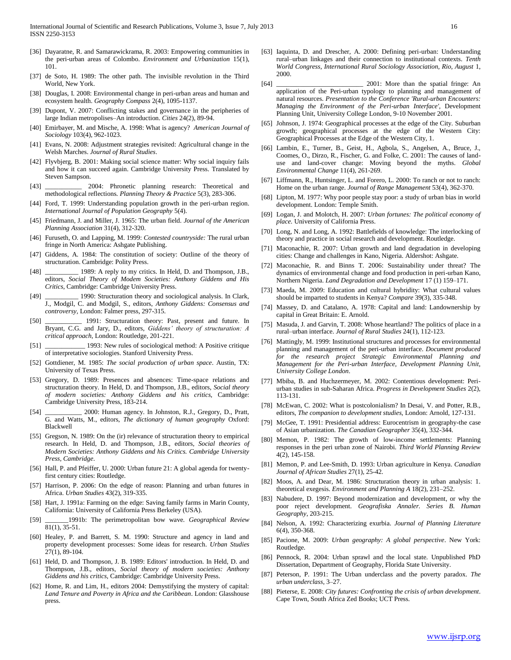- [36] Dayaratne, R. and Samarawickrama, R. 2003: Empowering communities in the peri-urban areas of Colombo. *Environment and Urbanization* 15(1), 101.
- [37] de Soto, H. 1989: The other path. The invisible revolution in the Third World, New York.
- [38] Douglas, I. 2008: Environmental change in peri-urban areas and human and ecosystem health. *Geography Compass* 2(4), 1095-1137.
- [39] Dupont, V. 2007: Conflicting stakes and governance in the peripheries of large Indian metropolises–An introduction. *Cities* 24(2), 89-94.
- [40] Emirbayer, M. and Mische, A. 1998: What is agency? *American Journal of Sociology* 103(4), 962-1023.
- [41] Evans, N. 2008: Adjustment strategies revisited: Agricultural change in the Welsh Marches. *Journal of Rural Studies*.
- [42] Flyvbjerg, B. 2001: Making social science matter: Why social inquiry fails and how it can succeed again. Cambridge University Press. Translated by Steven Sampson.
- [43] \_\_\_\_\_\_\_\_\_\_\_\_\_ 2004: Phronetic planning research: Theoretical and methodological reflections. *Planning Theory & Practice* 5(3), 283-306.
- [44] Ford, T. 1999: Understanding population growth in the peri-urban region. *International Journal of Population Geography* 5(4).
- [45] Friedmann, J. and Miller, J. 1965: The urban field. *Journal of the American Planning Association* 31(4), 312-320.
- [46] Furuseth, O. and Lapping, M. 1999: *Contested countryside:* The rural urban fringe in North America: Ashgate Publishing.
- [47] Giddens, A. 1984: The constitution of society: Outline of the theory of structuration. Cambridge: Polity Press.
- [48] \_\_\_\_\_\_\_\_\_\_ 1989: A reply to my critics. In Held, D. and Thompson, J.B., editors, *Social Theory of Modem Societies: Anthony Giddens and His Critics,* Cambridge: Cambridge University Press.
- [49] \_\_\_\_\_\_\_\_\_ 1990: Structuration theory and sociological analysis. In Clark, J., Modgil, C. and Modgil, S., editors, *Anthony Giddens: Consensus and controversy,* London: Falmer press, 297-315.
- [50] \_\_\_\_\_\_\_\_\_\_\_ 1991: Structuration theory: Past, present and future. In Bryant, C.G. and Jary, D., editors, *Giddens' theory of structuration: A critical approach,* London: Routledge, 201-221.
- [51] \_\_\_\_\_\_\_\_\_\_\_\_ 1993: New rules of sociological method: A Positive critique of interpretative sociologies. Stanford University Press.
- [52] Gottdiener, M. 1985: *The social production of urban space*. Austin, TX: University of Texas Press.
- [53] Gregory, D. 1989: Presences and absences: Time-space relations and structuration theory. In Held, D. and Thompson, J.B., editors, *Social theory of modern societies: Anthony Giddens and his critics,* Cambridge: Cambridge University Press, 183-214.
- [54] \_\_\_\_\_\_\_\_\_\_\_ 2000: Human agency. In Johnston, R.J., Gregory, D., Pratt, G. and Watts, M., editors, *The dictionary of human geography* Oxford: Blackwell
- [55] Gregson, N. 1989: On the (ir) relevance of structuration theory to empirical research. In Held, D. and Thompson, J.B., editors, *Social theories of Modern Societies: Anthony Giddens and his Critics. Cambridge University Press, Cambridge*.
- [56] Hall, P. and Pfeiffer, U. 2000: Urban future 21: A global agenda for twentyfirst century cities: Routledge.
- [57] Harrison, P. 2006: On the edge of reason: Planning and urban futures in Africa. *Urban Studies* 43(2), 319-335.
- [58] Hart, J. 1991a: Farming on the edge: Saving family farms in Marin County, California: University of California Press Berkeley (USA).
- [59] \_\_\_\_\_\_\_1991b: The perimetropolitan bow wave. *Geographical Review* 81(1), 35-51.
- [60] Healey, P. and Barrett, S. M. 1990: Structure and agency in land and property development processes: Some ideas for research. *Urban Studies* 27(1), 89-104.
- [61] Held, D. and Thompson, J. B. 1989: Editors' introduction. In Held, D. and Thompson, J.B., editors, *Social theory of modern societies: Anthony Giddens and his critics,* Cambridge: Cambridge University Press.
- [62] Home, R. and Lim, H., editors 2004: Demystifying the mystery of capital: *Land Tenure and Poverty in Africa and the Caribbean*. London: Glasshouse press.
- [63] Iaquinta, D. and Drescher, A. 2000: Defining peri-urban: Understanding rural–urban linkages and their connection to institutional contexts. *Tenth World Congress, International Rural Sociology Association, Rio, August* 1, 2000.
- [64] \_\_\_\_\_\_\_\_\_\_\_\_\_\_\_\_\_\_\_\_\_\_\_\_\_\_ 2001: More than the spatial fringe: An application of the Peri-urban typology to planning and management of natural resources. *Presentation to the Conference 'Rural-urban Encounters: Managing the Environment of the Peri-urban Interface',* Development Planning Unit, University College London, 9-10 November 2001.
- [65] Johnson, J. 1974: Geographical processes at the edge of the City. Suburban growth; geographical processes at the edge of the Western City: Geographical Processes at the Edge of the Western City, 1.
- [66] Lambin, E., Turner, B., Geist, H., Agbola, S., Angelsen, A., Bruce, J., Coomes, O., Dirzo, R., Fischer, G. and Folke, C. 2001: The causes of landuse and land-cover change: Moving beyond the myths. *Global Environmental Change* 11(4), 261-269.
- [67] Liffmann, R., Huntsinger, L. and Forero, L. 2000: To ranch or not to ranch: Home on the urban range. *Journal of Range Management* 53(4), 362-370.
- [68] Lipton, M. 1977: Why poor people stay poor: a study of urban bias in world development. London: Temple Smith.
- [69] Logan, J. and Molotch, H. 2007: *Urban fortunes: The political economy of place.* University of California Press.
- [70] Long, N. and Long, A. 1992: Battlefields of knowledge: The interlocking of theory and practice in social research and development. Routledge.
- [71] Maconachie, R. 2007: Urban growth and land degradation in developing cities: Change and challenges in Kano, Nigeria. Aldershot: Ashgate.
- [72] Maconachie, R. and Binns T. 2006: Sustainability under threat? The dynamics of environmental change and food production in peri-urban Kano, Northern Nigeria. *Land Degradation and Development* 17 (1) 159–171.
- [73] Maeda, M. 2009: Education and cultural hybridity: What cultural values should be imparted to students in Kenya? *Compare* 39(3), 335-348.
- [74] Massey, D. and Catalano, A. 1978: Capital and land: Landownership by capital in Great Britain: E. Arnold.
- [75] Masuda, J. and Garvin, T. 2008: Whose heartland? The politics of place in a rural–urban interface. *Journal of Rural Studies* 24(1), 112-123.
- [76] Mattingly, M. 1999: Institutional structures and processes for environmental planning and management of the peri-urban interface. *Document produced for the research project Strategic Environmental Planning and Management for the Peri-urban Interface, Development Planning Unit, University College London*.
- [77] Mbiba, B. and Huchzermeyer, M. 2002: Contentious development: Periurban studies in sub-Saharan Africa. *Progress in Development Studies* 2(2), 113-131.
- [78] McEwan, C. 2002: What is postcolonialism? In Desai, V. and Potter, R.B., editors, *The companion to development studies,* London: Arnold, 127-131.
- [79] McGee, T. 1991: Presidential address: Eurocentrism in geography-the case of Asian urbanization. *The Canadian Geographer* 35(4), 332-344.
- [80] Memon, P. 1982: The growth of low-income settlements: Planning responses in the peri urban zone of Nairobi. *Third World Planning Review* 4(2), 145-158.
- [81] Memon, P. and Lee-Smith, D. 1993: Urban agriculture in Kenya. *Canadian Journal of African Studies* 27(1), 25-42.
- [82] Moos, A. and Dear, M. 1986: Structuration theory in urban analysis: 1. theoretical exegesis. *Environment and Planning A* 18(2), 231–252.
- [83] Nabudere, D. 1997: Beyond modernization and development, or why the poor reject development. *Geografiska Annaler. Series B. Human Geography*, 203-215.
- [84] Nelson, A. 1992: Characterizing exurbia. *Journal of Planning Literature* 6(4), 350-368.
- [85] Pacione, M. 2009: *Urban geography: A global perspective*. New York: Routledge.
- [86] Pennock, R. 2004: Urban sprawl and the local state. Unpublished PhD Dissertation, Department of Geography, Florida State University.
- [87] Peterson, P. 1991: The Urban underclass and the poverty paradox. *The urban underclass*, 3–27.
- [88] Pieterse, E. 2008: *City futures: Confronting the crisis of urban development*. Cape Town, South Africa Zed Books; UCT Press.